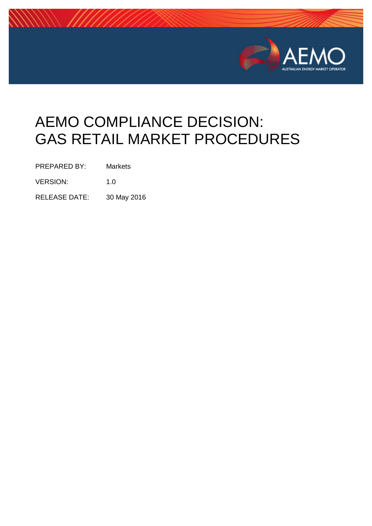

# AEMO COMPLIANCE DECISION: GAS RETAIL MARKET PROCEDURES

PREPARED BY: Markets

VERSION: 1.0

RELEASE DATE: 30 May 2016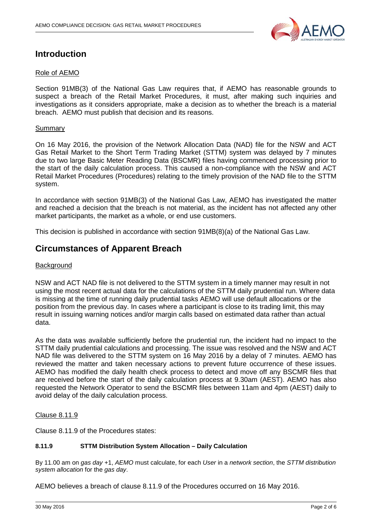

## **Introduction**

#### Role of AEMO

Section 91MB(3) of the National Gas Law requires that, if AEMO has reasonable grounds to suspect a breach of the Retail Market Procedures, it must, after making such inquiries and investigations as it considers appropriate, make a decision as to whether the breach is a material breach. AEMO must publish that decision and its reasons.

#### Summary

On 16 May 2016, the provision of the Network Allocation Data (NAD) file for the NSW and ACT Gas Retail Market to the Short Term Trading Market (STTM) system was delayed by 7 minutes due to two large Basic Meter Reading Data (BSCMR) files having commenced processing prior to the start of the daily calculation process. This caused a non-compliance with the NSW and ACT Retail Market Procedures (Procedures) relating to the timely provision of the NAD file to the STTM system.

In accordance with section 91MB(3) of the National Gas Law, AEMO has investigated the matter and reached a decision that the breach is not material, as the incident has not affected any other market participants, the market as a whole, or end use customers.

This decision is published in accordance with section 91MB(8)(a) of the National Gas Law.

### **Circumstances of Apparent Breach**

#### **Background**

NSW and ACT NAD file is not delivered to the STTM system in a timely manner may result in not using the most recent actual data for the calculations of the STTM daily prudential run. Where data is missing at the time of running daily prudential tasks AEMO will use default allocations or the position from the previous day. In cases where a participant is close to its trading limit, this may result in issuing warning notices and/or margin calls based on estimated data rather than actual data.

As the data was available sufficiently before the prudential run, the incident had no impact to the STTM daily prudential calculations and processing. The issue was resolved and the NSW and ACT NAD file was delivered to the STTM system on 16 May 2016 by a delay of 7 minutes. AEMO has reviewed the matter and taken necessary actions to prevent future occurrence of these issues. AEMO has modified the daily health check process to detect and move off any BSCMR files that are received before the start of the daily calculation process at 9.30am (AEST). AEMO has also requested the Network Operator to send the BSCMR files between 11am and 4pm (AEST) daily to avoid delay of the daily calculation process.

Clause 8.11.9

Clause 8.11.9 of the Procedures states:

#### **8.11.9 STTM Distribution System Allocation – Daily Calculation**

By 11.00 am on *gas day* +1, *AEMO* must calculate, for each *User* in a *network section*, the *STTM distribution system allocation* for the *gas day*.

AEMO believes a breach of clause 8.11.9 of the Procedures occurred on 16 May 2016.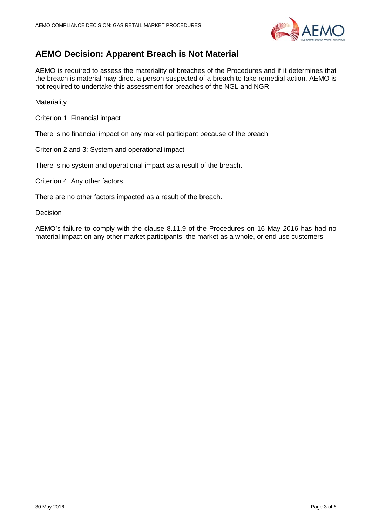

## **AEMO Decision: Apparent Breach is Not Material**

AEMO is required to assess the materiality of breaches of the Procedures and if it determines that the breach is material may direct a person suspected of a breach to take remedial action. AEMO is not required to undertake this assessment for breaches of the NGL and NGR.

#### **Materiality**

Criterion 1: Financial impact

There is no financial impact on any market participant because of the breach.

Criterion 2 and 3: System and operational impact

There is no system and operational impact as a result of the breach.

Criterion 4: Any other factors

There are no other factors impacted as a result of the breach.

**Decision** 

AEMO's failure to comply with the clause 8.11.9 of the Procedures on 16 May 2016 has had no material impact on any other market participants, the market as a whole, or end use customers.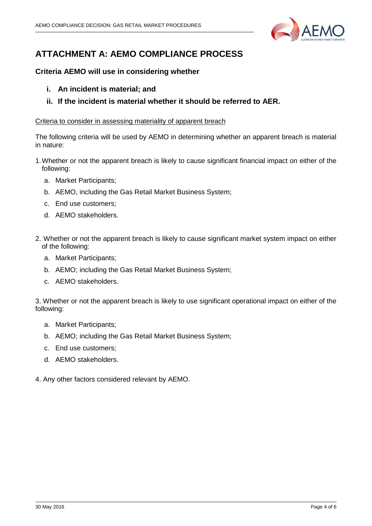

# **ATTACHMENT A: AEMO COMPLIANCE PROCESS**

#### **Criteria AEMO will use in considering whether**

- **i. An incident is material; and**
- **ii. If the incident is material whether it should be referred to AER.**

#### Criteria to consider in assessing materiality of apparent breach

The following criteria will be used by AEMO in determining whether an apparent breach is material in nature:

- 1.Whether or not the apparent breach is likely to cause significant financial impact on either of the following:
	- a. Market Participants;
	- b. AEMO, including the Gas Retail Market Business System;
	- c. End use customers;
	- d. AEMO stakeholders.
- 2. Whether or not the apparent breach is likely to cause significant market system impact on either of the following:
	- a. Market Participants;
	- b. AEMO; including the Gas Retail Market Business System;
	- c. AEMO stakeholders.

3. Whether or not the apparent breach is likely to use significant operational impact on either of the following:

- a. Market Participants;
- b. AEMO; including the Gas Retail Market Business System;
- c. End use customers;
- d. AEMO stakeholders.
- 4. Any other factors considered relevant by AEMO.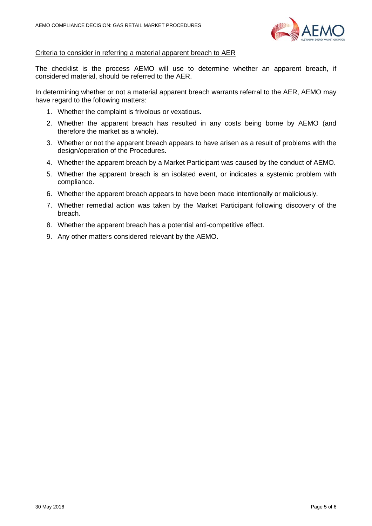

#### Criteria to consider in referring a material apparent breach to AER

The checklist is the process AEMO will use to determine whether an apparent breach, if considered material, should be referred to the AER.

In determining whether or not a material apparent breach warrants referral to the AER, AEMO may have regard to the following matters:

- 1. Whether the complaint is frivolous or vexatious.
- 2. Whether the apparent breach has resulted in any costs being borne by AEMO (and therefore the market as a whole).
- 3. Whether or not the apparent breach appears to have arisen as a result of problems with the design/operation of the Procedures.
- 4. Whether the apparent breach by a Market Participant was caused by the conduct of AEMO.
- 5. Whether the apparent breach is an isolated event, or indicates a systemic problem with compliance.
- 6. Whether the apparent breach appears to have been made intentionally or maliciously.
- 7. Whether remedial action was taken by the Market Participant following discovery of the breach.
- 8. Whether the apparent breach has a potential anti-competitive effect.
- 9. Any other matters considered relevant by the AEMO.